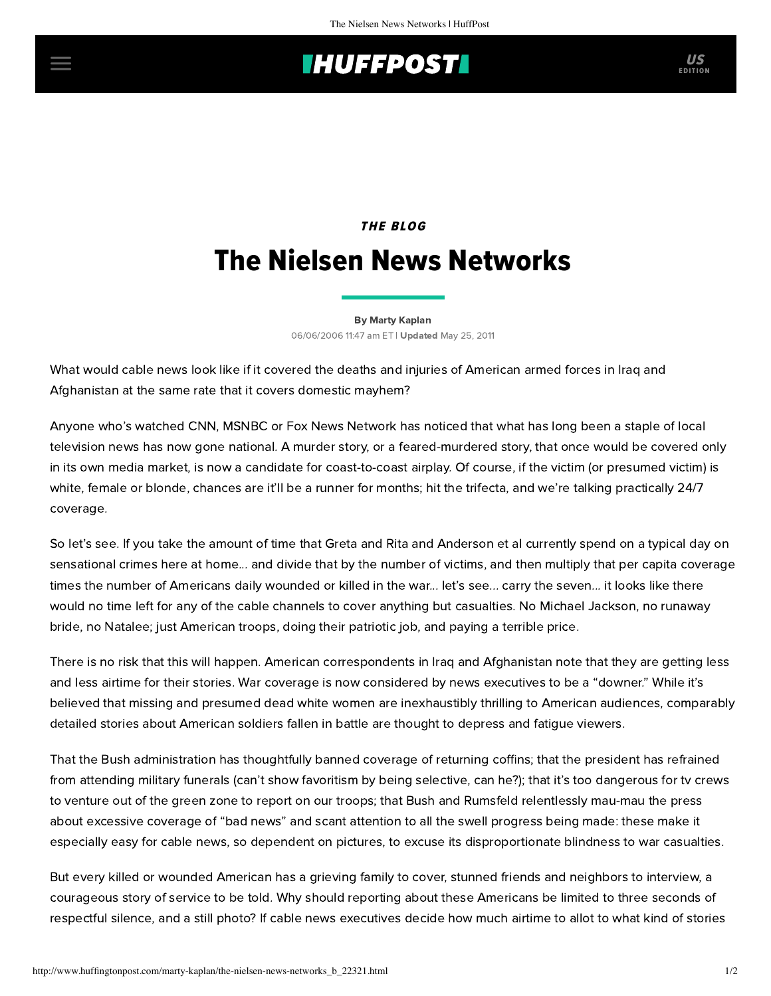## **IHUFFPOSTI** US

## **THE BLOG** The Nielsen News Networks

[By Marty Kaplan](http://www.huffingtonpost.com/author/marty-kaplan) 06/06/2006 11:47 am ET | Updated May 25, 2011

What would cable news look like if it covered the deaths and injuries of American armed forces in Iraq and Afghanistan at the same rate that it covers domestic mayhem?

Anyone who's watched CNN, MSNBC or Fox News Network has noticed that what has long been a staple of local television news has now gone national. A murder story, or a feared-murdered story, that once would be covered only in its own media market, is now a candidate for coast-to-coast airplay. Of course, if the victim (or presumed victim) is white, female or blonde, chances are it'll be a runner for months; hit the trifecta, and we're talking practically 24/7 coverage.

So let's see. If you take the amount of time that Greta and Rita and Anderson et al currently spend on a typical day on sensational crimes here at home... and divide that by the number of victims, and then multiply that per capita coverage times the number of Americans daily wounded or killed in the war... let's see... carry the seven... it looks like there would no time left for any of the cable channels to cover anything but casualties. No Michael Jackson, no runaway bride, no Natalee; just American troops, doing their patriotic job, and paying a terrible price.

There is no risk that this will happen. American correspondents in Iraq and Afghanistan note that they are getting less and less airtime for their stories. War coverage is now considered by news executives to be a "downer." While it's believed that missing and presumed dead white women are inexhaustibly thrilling to American audiences, comparably detailed stories about American soldiers fallen in battle are thought to depress and fatigue viewers.

That the Bush administration has thoughtfully banned coverage of returning coffins; that the president has refrained from attending military funerals (can't show favoritism by being selective, can he?); that it's too dangerous for tv crews to venture out of the green zone to report on our troops; that Bush and Rumsfeld relentlessly mau-mau the press about excessive coverage of "bad news" and scant attention to all the swell progress being made: these make it especially easy for cable news, so dependent on pictures, to excuse its disproportionate blindness to war casualties.

But every killed or wounded American has a grieving family to cover, stunned friends and neighbors to interview, a courageous story of service to be told. Why should reporting about these Americans be limited to three seconds of respectful silence, and a still photo? If cable news executives decide how much airtime to allot to what kind of stories